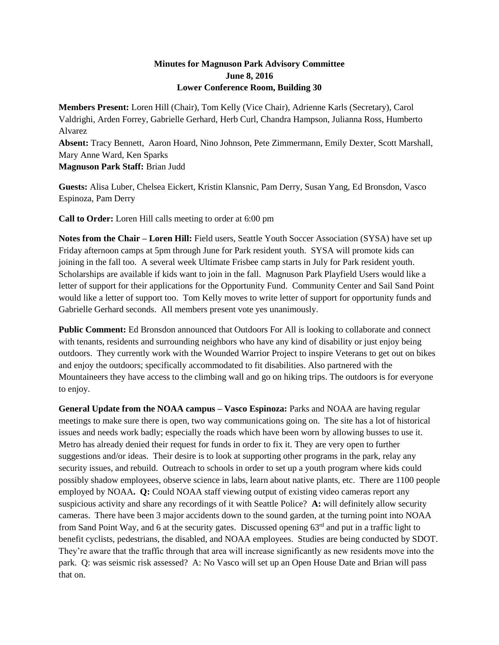## **Minutes for Magnuson Park Advisory Committee June 8, 2016 Lower Conference Room, Building 30**

**Members Present:** Loren Hill (Chair), Tom Kelly (Vice Chair), Adrienne Karls (Secretary), Carol Valdrighi, Arden Forrey, Gabrielle Gerhard, Herb Curl, Chandra Hampson, Julianna Ross, Humberto Alvarez

**Absent:** Tracy Bennett, Aaron Hoard, Nino Johnson, Pete Zimmermann, Emily Dexter, Scott Marshall, Mary Anne Ward, Ken Sparks

**Magnuson Park Staff:** Brian Judd

**Guests:** Alisa Luber, Chelsea Eickert, Kristin Klansnic, Pam Derry, Susan Yang, Ed Bronsdon, Vasco Espinoza, Pam Derry

**Call to Order:** Loren Hill calls meeting to order at 6:00 pm

**Notes from the Chair – Loren Hill:** Field users, Seattle Youth Soccer Association (SYSA) have set up Friday afternoon camps at 5pm through June for Park resident youth. SYSA will promote kids can joining in the fall too. A several week Ultimate Frisbee camp starts in July for Park resident youth. Scholarships are available if kids want to join in the fall. Magnuson Park Playfield Users would like a letter of support for their applications for the Opportunity Fund. Community Center and Sail Sand Point would like a letter of support too. Tom Kelly moves to write letter of support for opportunity funds and Gabrielle Gerhard seconds. All members present vote yes unanimously.

**Public Comment:** Ed Bronsdon announced that Outdoors For All is looking to collaborate and connect with tenants, residents and surrounding neighbors who have any kind of disability or just enjoy being outdoors. They currently work with the Wounded Warrior Project to inspire Veterans to get out on bikes and enjoy the outdoors; specifically accommodated to fit disabilities. Also partnered with the Mountaineers they have access to the climbing wall and go on hiking trips. The outdoors is for everyone to enjoy.

**General Update from the NOAA campus – Vasco Espinoza:** Parks and NOAA are having regular meetings to make sure there is open, two way communications going on. The site has a lot of historical issues and needs work badly; especially the roads which have been worn by allowing busses to use it. Metro has already denied their request for funds in order to fix it. They are very open to further suggestions and/or ideas. Their desire is to look at supporting other programs in the park, relay any security issues, and rebuild. Outreach to schools in order to set up a youth program where kids could possibly shadow employees, observe science in labs, learn about native plants, etc. There are 1100 people employed by NOAA**. Q:** Could NOAA staff viewing output of existing video cameras report any suspicious activity and share any recordings of it with Seattle Police? **A:** will definitely allow security cameras. There have been 3 major accidents down to the sound garden, at the turning point into NOAA from Sand Point Way, and 6 at the security gates. Discussed opening 63<sup>rd</sup> and put in a traffic light to benefit cyclists, pedestrians, the disabled, and NOAA employees. Studies are being conducted by SDOT. They're aware that the traffic through that area will increase significantly as new residents move into the park. Q: was seismic risk assessed? A: No Vasco will set up an Open House Date and Brian will pass that on.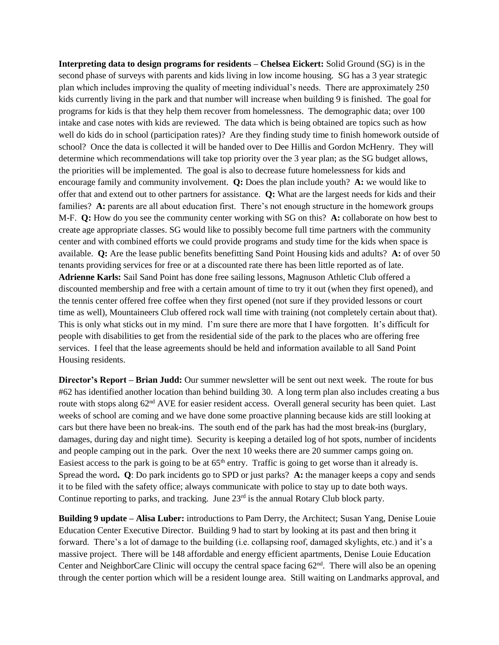**Interpreting data to design programs for residents – Chelsea Eickert:** Solid Ground (SG) is in the second phase of surveys with parents and kids living in low income housing. SG has a 3 year strategic plan which includes improving the quality of meeting individual's needs. There are approximately 250 kids currently living in the park and that number will increase when building 9 is finished. The goal for programs for kids is that they help them recover from homelessness. The demographic data; over 100 intake and case notes with kids are reviewed. The data which is being obtained are topics such as how well do kids do in school (participation rates)? Are they finding study time to finish homework outside of school? Once the data is collected it will be handed over to Dee Hillis and Gordon McHenry. They will determine which recommendations will take top priority over the 3 year plan; as the SG budget allows, the priorities will be implemented. The goal is also to decrease future homelessness for kids and encourage family and community involvement. **Q:** Does the plan include youth? **A:** we would like to offer that and extend out to other partners for assistance. **Q:** What are the largest needs for kids and their families? **A:** parents are all about education first. There's not enough structure in the homework groups M-F. **Q:** How do you see the community center working with SG on this? **A:** collaborate on how best to create age appropriate classes. SG would like to possibly become full time partners with the community center and with combined efforts we could provide programs and study time for the kids when space is available. **Q:** Are the lease public benefits benefitting Sand Point Housing kids and adults? **A:** of over 50 tenants providing services for free or at a discounted rate there has been little reported as of late. **Adrienne Karls:** Sail Sand Point has done free sailing lessons, Magnuson Athletic Club offered a discounted membership and free with a certain amount of time to try it out (when they first opened), and the tennis center offered free coffee when they first opened (not sure if they provided lessons or court time as well), Mountaineers Club offered rock wall time with training (not completely certain about that). This is only what sticks out in my mind. I'm sure there are more that I have forgotten. It's difficult for people with disabilities to get from the residential side of the park to the places who are offering free services. I feel that the lease agreements should be held and information available to all Sand Point Housing residents.

**Director's Report – Brian Judd:** Our summer newsletter will be sent out next week. The route for bus #62 has identified another location than behind building 30. A long term plan also includes creating a bus route with stops along 62<sup>nd</sup> AVE for easier resident access. Overall general security has been quiet. Last weeks of school are coming and we have done some proactive planning because kids are still looking at cars but there have been no break-ins. The south end of the park has had the most break-ins (burglary, damages, during day and night time). Security is keeping a detailed log of hot spots, number of incidents and people camping out in the park. Over the next 10 weeks there are 20 summer camps going on. Easiest access to the park is going to be at  $65<sup>th</sup>$  entry. Traffic is going to get worse than it already is. Spread the word**. Q**: Do park incidents go to SPD or just parks? **A:** the manager keeps a copy and sends it to be filed with the safety office; always communicate with police to stay up to date both ways. Continue reporting to parks, and tracking. June  $23<sup>rd</sup>$  is the annual Rotary Club block party.

**Building 9 update – Alisa Luber:** introductions to Pam Derry, the Architect; Susan Yang, Denise Louie Education Center Executive Director. Building 9 had to start by looking at its past and then bring it forward. There's a lot of damage to the building (i.e. collapsing roof, damaged skylights, etc.) and it's a massive project. There will be 148 affordable and energy efficient apartments, Denise Louie Education Center and NeighborCare Clinic will occupy the central space facing  $62<sup>nd</sup>$ . There will also be an opening through the center portion which will be a resident lounge area. Still waiting on Landmarks approval, and